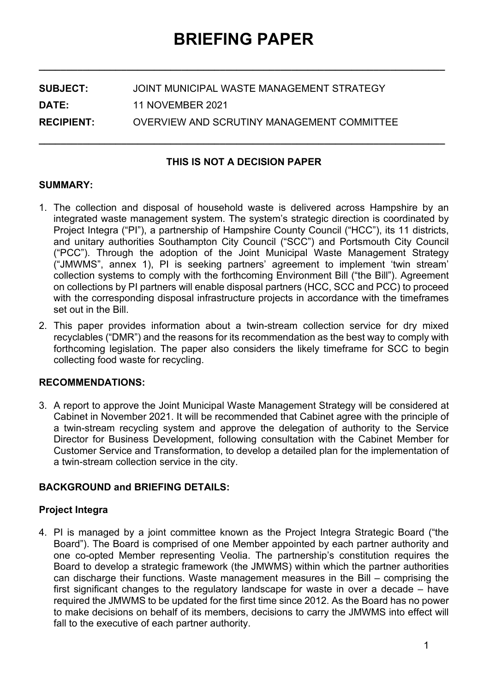**\_\_\_\_\_\_\_\_\_\_\_\_\_\_\_\_\_\_\_\_\_\_\_\_\_\_\_\_\_\_\_\_\_\_\_\_\_\_\_\_\_\_\_\_\_\_\_\_\_\_\_\_\_\_\_\_\_\_\_\_\_\_\_\_\_\_\_\_\_\_\_\_\_\_**

| <b>SUBJECT:</b>   | JOINT MUNICIPAL WASTE MANAGEMENT STRATEGY  |
|-------------------|--------------------------------------------|
| <b>DATE:</b>      | 11 NOVEMBER 2021                           |
| <b>RECIPIENT:</b> | OVERVIEW AND SCRUTINY MANAGEMENT COMMITTEE |

## **THIS IS NOT A DECISION PAPER**

**\_\_\_\_\_\_\_\_\_\_\_\_\_\_\_\_\_\_\_\_\_\_\_\_\_\_\_\_\_\_\_\_\_\_\_\_\_\_\_\_\_\_\_\_\_\_\_\_\_\_\_\_\_\_\_\_\_\_\_\_\_\_\_\_\_\_\_\_\_\_\_\_\_\_**

## **SUMMARY:**

- 1. The collection and disposal of household waste is delivered across Hampshire by an integrated waste management system. The system's strategic direction is coordinated by Project Integra ("PI"), a partnership of Hampshire County Council ("HCC"), its 11 districts, and unitary authorities Southampton City Council ("SCC") and Portsmouth City Council ("PCC"). Through the adoption of the Joint Municipal Waste Management Strategy ("JMWMS", annex 1), PI is seeking partners' agreement to implement 'twin stream' collection systems to comply with the forthcoming Environment Bill ("the Bill"). Agreement on collections by PI partners will enable disposal partners (HCC, SCC and PCC) to proceed with the corresponding disposal infrastructure projects in accordance with the timeframes set out in the Bill.
- 2. This paper provides information about a twin-stream collection service for dry mixed recyclables ("DMR") and the reasons for its recommendation as the best way to comply with forthcoming legislation. The paper also considers the likely timeframe for SCC to begin collecting food waste for recycling.

## **RECOMMENDATIONS:**

3. A report to approve the Joint Municipal Waste Management Strategy will be considered at Cabinet in November 2021. It will be recommended that Cabinet agree with the principle of a twin-stream recycling system and approve the delegation of authority to the Service Director for Business Development, following consultation with the Cabinet Member for Customer Service and Transformation, to develop a detailed plan for the implementation of a twin-stream collection service in the city.

## **BACKGROUND and BRIEFING DETAILS:**

## **Project Integra**

4. PI is managed by a joint committee known as the Project Integra Strategic Board ("the Board"). The Board is comprised of one Member appointed by each partner authority and one co-opted Member representing Veolia. The partnership's constitution requires the Board to develop a strategic framework (the JMWMS) within which the partner authorities can discharge their functions. Waste management measures in the Bill – comprising the first significant changes to the regulatory landscape for waste in over a decade – have required the JMWMS to be updated for the first time since 2012. As the Board has no power to make decisions on behalf of its members, decisions to carry the JMWMS into effect will fall to the executive of each partner authority.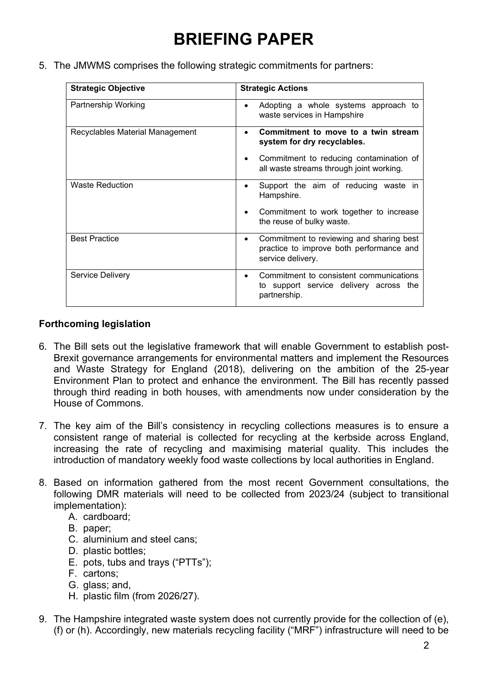5. The JMWMS comprises the following strategic commitments for partners:

| <b>Strategic Objective</b>      | <b>Strategic Actions</b>                                                                                       |
|---------------------------------|----------------------------------------------------------------------------------------------------------------|
| Partnership Working             | Adopting a whole systems approach to<br>$\bullet$<br>waste services in Hampshire                               |
| Recyclables Material Management | Commitment to move to a twin stream<br>$\bullet$<br>system for dry recyclables.                                |
|                                 | Commitment to reducing contamination of<br>all waste streams through joint working.                            |
| <b>Waste Reduction</b>          | Support the aim of reducing waste in<br>$\bullet$<br>Hampshire.                                                |
|                                 | Commitment to work together to increase<br>the reuse of bulky waste.                                           |
| <b>Best Practice</b>            | Commitment to reviewing and sharing best<br>٠<br>practice to improve both performance and<br>service delivery. |
| Service Delivery                | Commitment to consistent communications<br>to support service delivery across the<br>partnership.              |

## **Forthcoming legislation**

- 6. The Bill sets out the legislative framework that will enable Government to establish post-Brexit governance arrangements for environmental matters and implement the Resources and Waste Strategy for England (2018), delivering on the ambition of the 25-year Environment Plan to protect and enhance the environment. The Bill has recently passed through third reading in both houses, with amendments now under consideration by the House of Commons.
- 7. The key aim of the Bill's consistency in recycling collections measures is to ensure a consistent range of material is collected for recycling at the kerbside across England, increasing the rate of recycling and maximising material quality. This includes the introduction of mandatory weekly food waste collections by local authorities in England.
- 8. Based on information gathered from the most recent Government consultations, the following DMR materials will need to be collected from 2023/24 (subject to transitional implementation):
	- A. cardboard;
	- B. paper;
	- C. aluminium and steel cans;
	- D. plastic bottles;
	- E. pots, tubs and trays ("PTTs");
	- F. cartons;
	- G. glass; and,
	- H. plastic film (from 2026/27).
- 9. The Hampshire integrated waste system does not currently provide for the collection of (e), (f) or (h). Accordingly, new materials recycling facility ("MRF") infrastructure will need to be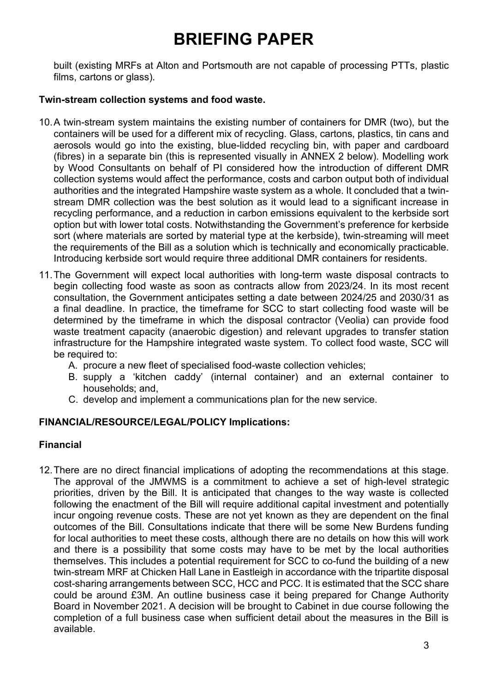built (existing MRFs at Alton and Portsmouth are not capable of processing PTTs, plastic films, cartons or glass).

## **Twin-stream collection systems and food waste.**

- 10.A twin-stream system maintains the existing number of containers for DMR (two), but the containers will be used for a different mix of recycling. Glass, cartons, plastics, tin cans and aerosols would go into the existing, blue-lidded recycling bin, with paper and cardboard (fibres) in a separate bin (this is represented visually in ANNEX 2 below). Modelling work by Wood Consultants on behalf of PI considered how the introduction of different DMR collection systems would affect the performance, costs and carbon output both of individual authorities and the integrated Hampshire waste system as a whole. It concluded that a twinstream DMR collection was the best solution as it would lead to a significant increase in recycling performance, and a reduction in carbon emissions equivalent to the kerbside sort option but with lower total costs. Notwithstanding the Government's preference for kerbside sort (where materials are sorted by material type at the kerbside), twin-streaming will meet the requirements of the Bill as a solution which is technically and economically practicable. Introducing kerbside sort would require three additional DMR containers for residents.
- 11.The Government will expect local authorities with long-term waste disposal contracts to begin collecting food waste as soon as contracts allow from 2023/24. In its most recent consultation, the Government anticipates setting a date between 2024/25 and 2030/31 as a final deadline. In practice, the timeframe for SCC to start collecting food waste will be determined by the timeframe in which the disposal contractor (Veolia) can provide food waste treatment capacity (anaerobic digestion) and relevant upgrades to transfer station infrastructure for the Hampshire integrated waste system. To collect food waste, SCC will be required to:
	- A. procure a new fleet of specialised food-waste collection vehicles;
	- B. supply a 'kitchen caddy' (internal container) and an external container to households; and,
	- C. develop and implement a communications plan for the new service.

## **FINANCIAL/RESOURCE/LEGAL/POLICY Implications:**

## **Financial**

12.There are no direct financial implications of adopting the recommendations at this stage. The approval of the JMWMS is a commitment to achieve a set of high-level strategic priorities, driven by the Bill. It is anticipated that changes to the way waste is collected following the enactment of the Bill will require additional capital investment and potentially incur ongoing revenue costs. These are not yet known as they are dependent on the final outcomes of the Bill. Consultations indicate that there will be some New Burdens funding for local authorities to meet these costs, although there are no details on how this will work and there is a possibility that some costs may have to be met by the local authorities themselves. This includes a potential requirement for SCC to co-fund the building of a new twin-stream MRF at Chicken Hall Lane in Eastleigh in accordance with the tripartite disposal cost-sharing arrangements between SCC, HCC and PCC. It is estimated that the SCC share could be around £3M. An outline business case it being prepared for Change Authority Board in November 2021. A decision will be brought to Cabinet in due course following the completion of a full business case when sufficient detail about the measures in the Bill is available.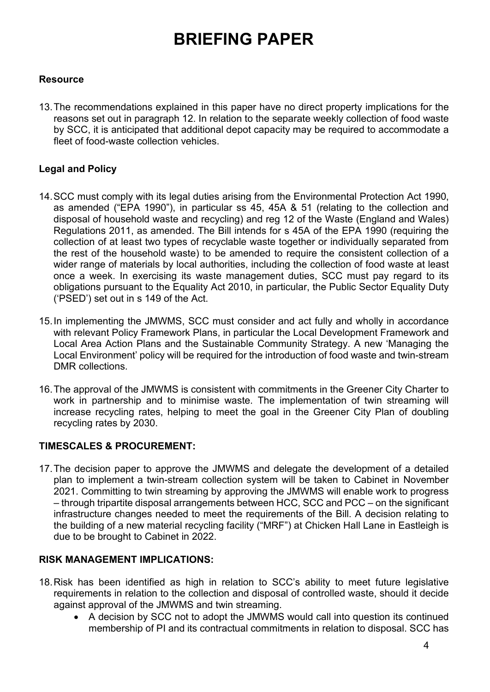## **Resource**

13.The recommendations explained in this paper have no direct property implications for the reasons set out in paragraph 12. In relation to the separate weekly collection of food waste by SCC, it is anticipated that additional depot capacity may be required to accommodate a fleet of food-waste collection vehicles.

## **Legal and Policy**

- 14.SCC must comply with its legal duties arising from the Environmental Protection Act 1990, as amended ("EPA 1990"), in particular ss 45, 45A & 51 (relating to the collection and disposal of household waste and recycling) and reg 12 of the Waste (England and Wales) Regulations 2011, as amended. The Bill intends for s 45A of the EPA 1990 (requiring the collection of at least two types of recyclable waste together or individually separated from the rest of the household waste) to be amended to require the consistent collection of a wider range of materials by local authorities, including the collection of food waste at least once a week. In exercising its waste management duties, SCC must pay regard to its obligations pursuant to the Equality Act 2010, in particular, the Public Sector Equality Duty ('PSED') set out in s 149 of the Act.
- 15.In implementing the JMWMS, SCC must consider and act fully and wholly in accordance with relevant Policy Framework Plans, in particular the Local Development Framework and Local Area Action Plans and the Sustainable Community Strategy. A new 'Managing the Local Environment' policy will be required for the introduction of food waste and twin-stream DMR collections.
- 16.The approval of the JMWMS is consistent with commitments in the Greener City Charter to work in partnership and to minimise waste. The implementation of twin streaming will increase recycling rates, helping to meet the goal in the Greener City Plan of doubling recycling rates by 2030.

## **TIMESCALES & PROCUREMENT:**

17.The decision paper to approve the JMWMS and delegate the development of a detailed plan to implement a twin-stream collection system will be taken to Cabinet in November 2021. Committing to twin streaming by approving the JMWMS will enable work to progress – through tripartite disposal arrangements between HCC, SCC and PCC – on the significant infrastructure changes needed to meet the requirements of the Bill. A decision relating to the building of a new material recycling facility ("MRF") at Chicken Hall Lane in Eastleigh is due to be brought to Cabinet in 2022.

## **RISK MANAGEMENT IMPLICATIONS:**

- 18.Risk has been identified as high in relation to SCC's ability to meet future legislative requirements in relation to the collection and disposal of controlled waste, should it decide against approval of the JMWMS and twin streaming.
	- A decision by SCC not to adopt the JMWMS would call into question its continued membership of PI and its contractual commitments in relation to disposal. SCC has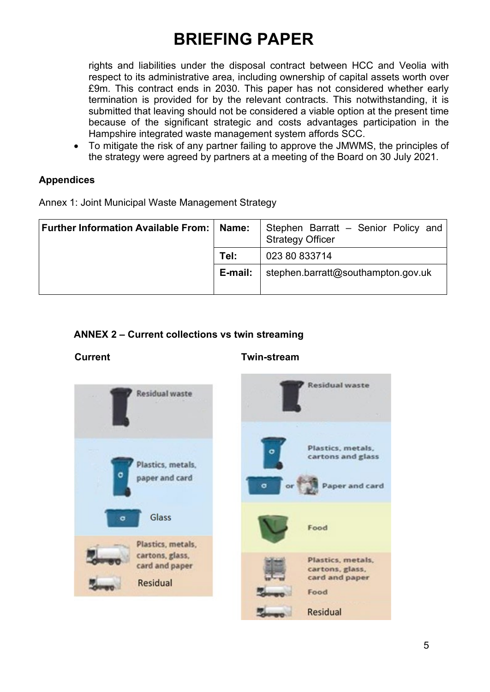rights and liabilities under the disposal contract between HCC and Veolia with respect to its administrative area, including ownership of capital assets worth over £9m. This contract ends in 2030. This paper has not considered whether early termination is provided for by the relevant contracts. This notwithstanding, it is submitted that leaving should not be considered a viable option at the present time because of the significant strategic and costs advantages participation in the Hampshire integrated waste management system affords SCC.

• To mitigate the risk of any partner failing to approve the JMWMS, the principles of the strategy were agreed by partners at a meeting of the Board on 30 July 2021.

## **Appendices**

Annex 1: Joint Municipal Waste Management Strategy

| Further Information Available From: | Name:   | Stephen Barratt - Senior Policy and<br><b>Strategy Officer</b> |
|-------------------------------------|---------|----------------------------------------------------------------|
|                                     | Tel:    | 023 80 833714                                                  |
|                                     | E-mail: | stephen.barratt@southampton.gov.uk                             |

## **ANNEX 2 – Current collections vs twin streaming**

## **Current Twin-stream**

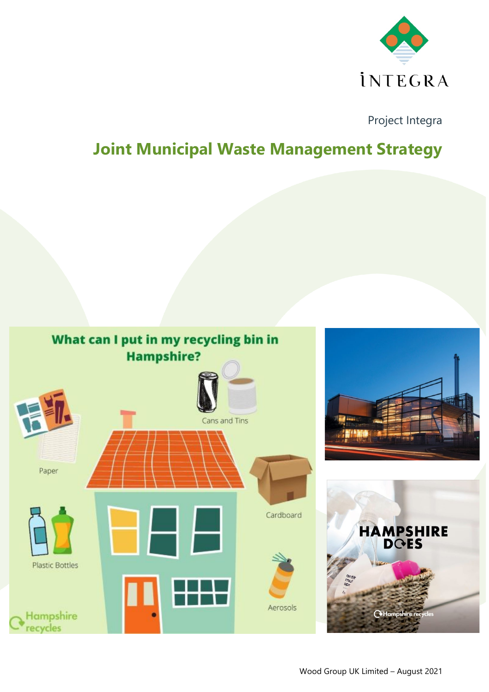

Project Integra

## **Joint Municipal Waste Management Strategy**

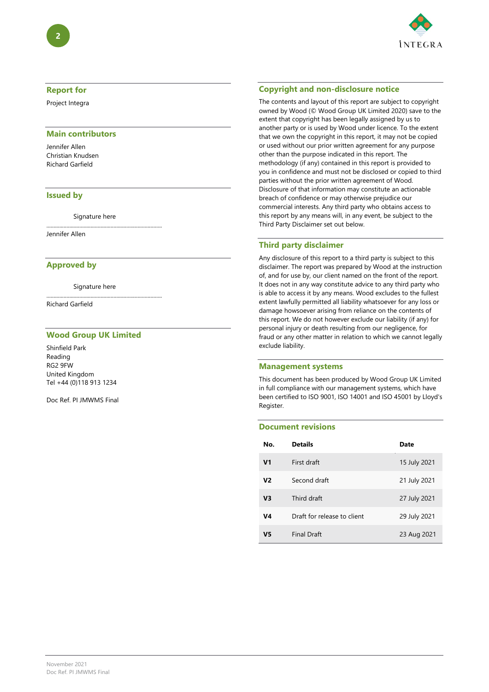

#### **Report for**

Project Integra

#### **Main contributors**

Jennifer Allen Christian Knudsen Richard Garfield

#### **Issued by**

Signature here

.................................................................................

Jennifer Allen

#### **Approved by**

Signature here

.................................................................................

Richard Garfield

#### **Wood Group UK Limited**

Shinfield Park Reading RG2 9FW United Kingdom Tel +44 (0)118 913 1234

Doc Ref. PI JMWMS Final

#### **Copyright and non-disclosure notice**

The contents and layout of this report are subject to copyright owned by Wood (© Wood Group UK Limited 2020) save to the extent that copyright has been legally assigned by us to another party or is used by Wood under licence. To the extent that we own the copyright in this report, it may not be copied or used without our prior written agreement for any purpose other than the purpose indicated in this report. The methodology (if any) contained in this report is provided to you in confidence and must not be disclosed or copied to third parties without the prior written agreement of Wood. Disclosure of that information may constitute an actionable breach of confidence or may otherwise prejudice our commercial interests. Any third party who obtains access to this report by any means will, in any event, be subject to the Third Party Disclaimer set out below.

#### **Third party disclaimer**

Any disclosure of this report to a third party is subject to this disclaimer. The report was prepared by Wood at the instruction of, and for use by, our client named on the front of the report. It does not in any way constitute advice to any third party who is able to access it by any means. Wood excludes to the fullest extent lawfully permitted all liability whatsoever for any loss or damage howsoever arising from reliance on the contents of this report. We do not however exclude our liability (if any) for personal injury or death resulting from our negligence, for fraud or any other matter in relation to which we cannot legally exclude liability.

#### **Management systems**

This document has been produced by Wood Group UK Limited in full compliance with our management systems, which have been certified to ISO 9001, ISO 14001 and ISO 45001 by Lloyd's Register.

#### **Document revisions**

| No.            | <b>Details</b>              | Date         |
|----------------|-----------------------------|--------------|
| V <sub>1</sub> | First draft                 | 15 July 2021 |
| V <sub>2</sub> | Second draft                | 21 July 2021 |
| V <sub>3</sub> | Third draft                 | 27 July 2021 |
| V4             | Draft for release to client | 29 July 2021 |
| V5             | <b>Final Draft</b>          | 23 Aug 2021  |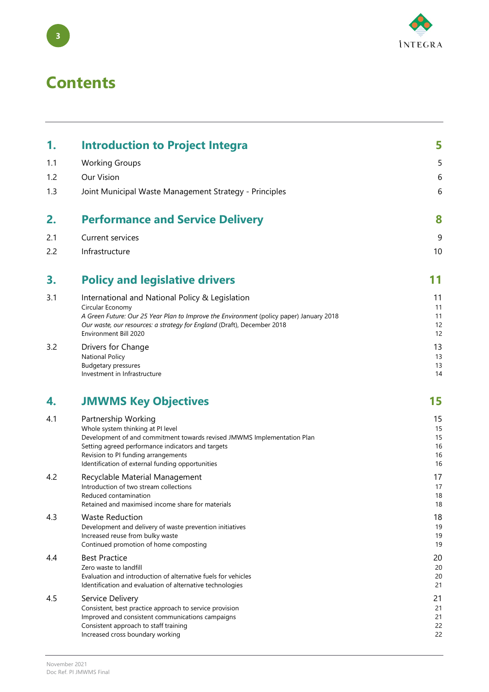

## **Contents**

| 1.  | <b>Introduction to Project Integra</b>                                                                                                                                                                                                                                              | 5                                |
|-----|-------------------------------------------------------------------------------------------------------------------------------------------------------------------------------------------------------------------------------------------------------------------------------------|----------------------------------|
| 1.1 | <b>Working Groups</b>                                                                                                                                                                                                                                                               | 5                                |
| 1.2 | Our Vision                                                                                                                                                                                                                                                                          | 6                                |
| 1.3 | Joint Municipal Waste Management Strategy - Principles                                                                                                                                                                                                                              | 6                                |
| 2.  | <b>Performance and Service Delivery</b>                                                                                                                                                                                                                                             | 8                                |
| 2.1 | Current services                                                                                                                                                                                                                                                                    | 9                                |
| 2.2 | Infrastructure                                                                                                                                                                                                                                                                      | 10                               |
| 3.  | <b>Policy and legislative drivers</b>                                                                                                                                                                                                                                               | 11                               |
| 3.1 | International and National Policy & Legislation<br>Circular Economy<br>A Green Future: Our 25 Year Plan to Improve the Environment (policy paper) January 2018<br>Our waste, our resources: a strategy for England (Draft), December 2018<br>Environment Bill 2020                  | 11<br>11<br>11<br>12<br>12       |
| 3.2 | Drivers for Change<br><b>National Policy</b><br><b>Budgetary pressures</b><br>Investment in Infrastructure                                                                                                                                                                          | 13<br>13<br>13<br>14             |
| 4.  | <b>JMWMS Key Objectives</b>                                                                                                                                                                                                                                                         | 15                               |
| 4.1 | Partnership Working<br>Whole system thinking at PI level<br>Development of and commitment towards revised JMWMS Implementation Plan<br>Setting agreed performance indicators and targets<br>Revision to PI funding arrangements<br>Identification of external funding opportunities | 15<br>15<br>15<br>16<br>16<br>16 |
| 4.2 | Recyclable Material Management<br>Introduction of two stream collections<br>Reduced contamination<br>Retained and maximised income share for materials                                                                                                                              | 17<br>17<br>18<br>18             |
| 4.3 | <b>Waste Reduction</b><br>Development and delivery of waste prevention initiatives<br>Increased reuse from bulky waste<br>Continued promotion of home composting                                                                                                                    | 18<br>19<br>19<br>19             |
| 4.4 | <b>Best Practice</b><br>Zero waste to landfill<br>Evaluation and introduction of alternative fuels for vehicles<br>Identification and evaluation of alternative technologies                                                                                                        | 20<br>20<br>20<br>21             |
| 4.5 | Service Delivery<br>Consistent, best practice approach to service provision<br>Improved and consistent communications campaigns<br>Consistent approach to staff training<br>Increased cross boundary working                                                                        | 21<br>21<br>21<br>22<br>22       |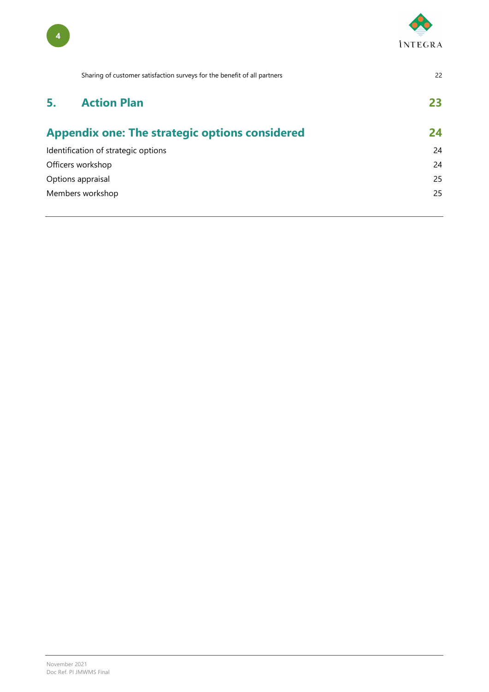

|    | Sharing of customer satisfaction surveys for the benefit of all partners | 22 |
|----|--------------------------------------------------------------------------|----|
| 5. | <b>Action Plan</b>                                                       | 23 |
|    | <b>Appendix one: The strategic options considered</b>                    | 24 |
|    | Identification of strategic options                                      | 24 |
|    | Officers workshop                                                        | 24 |
|    | Options appraisal                                                        | 25 |
|    | Members workshop                                                         | 25 |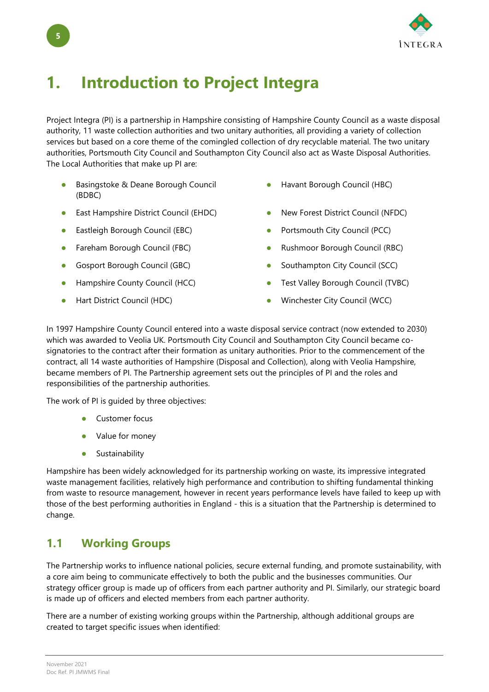

## <span id="page-9-0"></span>**1. Introduction to Project Integra**

Project Integra (PI) is a partnership in Hampshire consisting of Hampshire County Council as a waste disposal authority, 11 waste collection authorities and two unitary authorities, all providing a variety of collection services but based on a core theme of the comingled collection of dry recyclable material. The two unitary authorities, Portsmouth City Council and Southampton City Council also act as Waste Disposal Authorities. The Local Authorities that make up PI are:

- Basingstoke & Deane Borough Council (BDBC)
- East Hampshire District Council (EHDC) New Forest District Council (NFDC)
- Eastleigh Borough Council (EBC) **•** Portsmouth City Council (PCC)
- 
- Gosport Borough Council (GBC) Southampton City Council (SCC)
- 
- 
- Havant Borough Council (HBC)
- 
- 
- Fareham Borough Council (FBC) Rushmoor Borough Council (RBC)
	-
- Hampshire County Council (HCC) **Test Valley Borough Council (TVBC)**
- Hart District Council (HDC) Winchester City Council (WCC)

In 1997 Hampshire County Council entered into a waste disposal service contract (now extended to 2030) which was awarded to Veolia UK. Portsmouth City Council and Southampton City Council became cosignatories to the contract after their formation as unitary authorities. Prior to the commencement of the contract, all 14 waste authorities of Hampshire (Disposal and Collection), along with Veolia Hampshire, became members of PI. The Partnership agreement sets out the principles of PI and the roles and responsibilities of the partnership authorities.

The work of PI is guided by three objectives:

- Customer focus
- Value for money
- **•** Sustainability

Hampshire has been widely acknowledged for its partnership working on waste, its impressive integrated waste management facilities, relatively high performance and contribution to shifting fundamental thinking from waste to resource management, however in recent years performance levels have failed to keep up with those of the best performing authorities in England - this is a situation that the Partnership is determined to change.

## <span id="page-9-1"></span>**1.1 Working Groups**

The Partnership works to influence national policies, secure external funding, and promote sustainability, with a core aim being to communicate effectively to both the public and the businesses communities. Our strategy officer group is made up of officers from each partner authority and PI. Similarly, our strategic board is made up of officers and elected members from each partner authority.

There are a number of existing working groups within the Partnership, although additional groups are created to target specific issues when identified: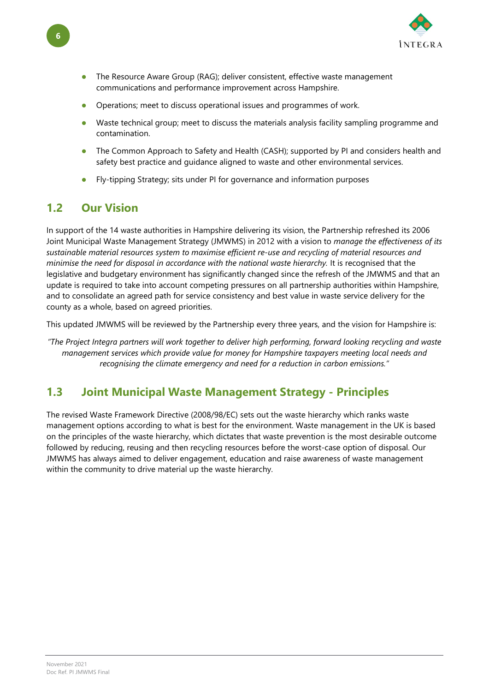

- The Resource Aware Group (RAG); deliver consistent, effective waste management communications and performance improvement across Hampshire.
- Operations; meet to discuss operational issues and programmes of work.
- Waste technical group; meet to discuss the materials analysis facility sampling programme and contamination.
- The Common Approach to Safety and Health (CASH); supported by PI and considers health and safety best practice and guidance aligned to waste and other environmental services.
- Fly-tipping Strategy; sits under PI for governance and information purposes

## <span id="page-10-0"></span>**1.2 Our Vision**

In support of the 14 waste authorities in Hampshire delivering its vision, the Partnership refreshed its 2006 Joint Municipal Waste Management Strategy (JMWMS) in 2012 with a vision to *manage the effectiveness of its sustainable material resources system to maximise efficient re-use and recycling of material resources and minimise the need for disposal in accordance with the national waste hierarchy.* It is recognised that the legislative and budgetary environment has significantly changed since the refresh of the JMWMS and that an update is required to take into account competing pressures on all partnership authorities within Hampshire, and to consolidate an agreed path for service consistency and best value in waste service delivery for the county as a whole, based on agreed priorities.

This updated JMWMS will be reviewed by the Partnership every three years, and the vision for Hampshire is:

*"The Project Integra partners will work together to deliver high performing, forward looking recycling and waste management services which provide value for money for Hampshire taxpayers meeting local needs and recognising the climate emergency and need for a reduction in carbon emissions."*

## <span id="page-10-1"></span>**1.3 Joint Municipal Waste Management Strategy - Principles**

The revised Waste Framework Directive (2008/98/EC) sets out the waste hierarchy which ranks waste management options according to what is best for the environment. Waste management in the UK is based on the principles of the waste hierarchy, which dictates that waste prevention is the most desirable outcome followed by reducing, reusing and then recycling resources before the worst-case option of disposal. Our JMWMS has always aimed to deliver engagement, education and raise awareness of waste management within the community to drive material up the waste hierarchy.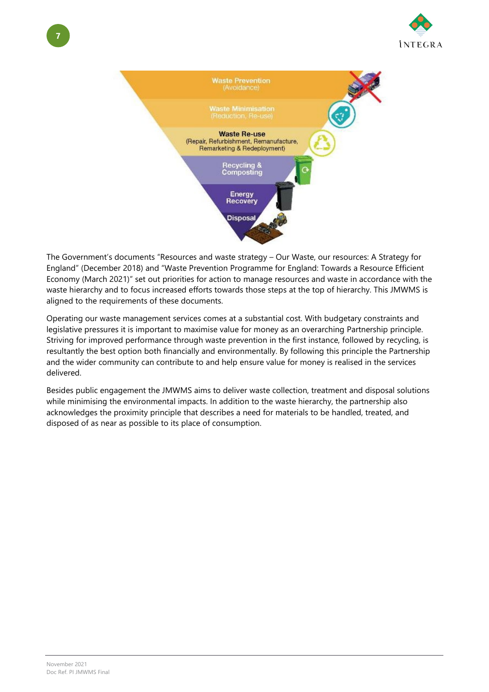



The Government's documents "Resources and waste strategy – Our Waste, our resources: A Strategy for England" (December 2018) and "Waste Prevention Programme for England: Towards a Resource Efficient Economy (March 2021)" set out priorities for action to manage resources and waste in accordance with the waste hierarchy and to focus increased efforts towards those steps at the top of hierarchy. This JMWMS is aligned to the requirements of these documents.

Operating our waste management services comes at a substantial cost. With budgetary constraints and legislative pressures it is important to maximise value for money as an overarching Partnership principle. Striving for improved performance through waste prevention in the first instance, followed by recycling, is resultantly the best option both financially and environmentally. By following this principle the Partnership and the wider community can contribute to and help ensure value for money is realised in the services delivered.

Besides public engagement the JMWMS aims to deliver waste collection, treatment and disposal solutions while minimising the environmental impacts. In addition to the waste hierarchy, the partnership also acknowledges the proximity principle that describes a need for materials to be handled, treated, and disposed of as near as possible to its place of consumption.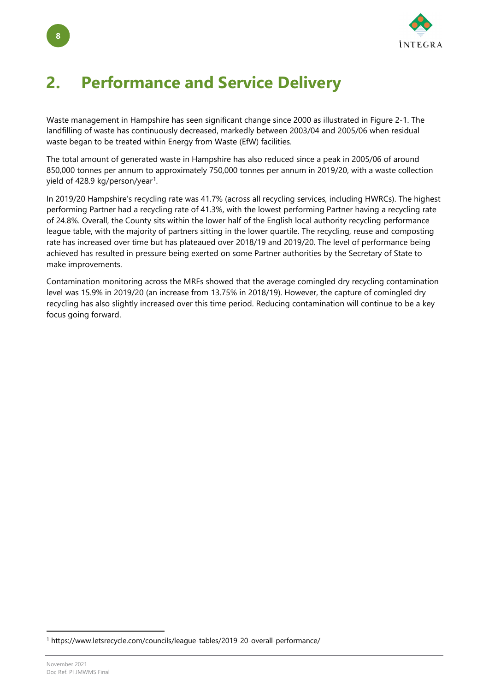

## <span id="page-12-0"></span>**2. Performance and Service Delivery**

Waste management in Hampshire has seen significant change since 2000 as illustrated in [Figure 2-1.](#page-13-1) The landfilling of waste has continuously decreased, markedly between 2003/04 and 2005/06 when residual waste began to be treated within Energy from Waste (EfW) facilities.

The total amount of generated waste in Hampshire has also reduced since a peak in 2005/06 of around 850,000 tonnes per annum to approximately 750,000 tonnes per annum in 2019/20, with a waste collection yield of 428.9 kg/person/year<sup>[1](#page-12-1)</sup>.

In 2019/20 Hampshire's recycling rate was 41.7% (across all recycling services, including HWRCs). The highest performing Partner had a recycling rate of 41.3%, with the lowest performing Partner having a recycling rate of 24.8%. Overall, the County sits within the lower half of the English local authority recycling performance league table, with the majority of partners sitting in the lower quartile. The recycling, reuse and composting rate has increased over time but has plateaued over 2018/19 and 2019/20. The level of performance being achieved has resulted in pressure being exerted on some Partner authorities by the Secretary of State to make improvements.

Contamination monitoring across the MRFs showed that the average comingled dry recycling contamination level was 15.9% in 2019/20 (an increase from 13.75% in 2018/19). However, the capture of comingled dry recycling has also slightly increased over this time period. Reducing contamination will continue to be a key focus going forward.

<span id="page-12-1"></span><sup>1</sup> https://www.letsrecycle.com/councils/league-tables/2019-20-overall-performance/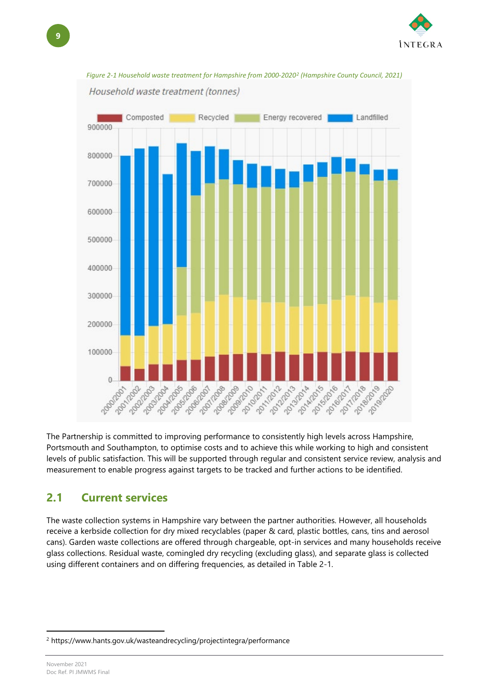



<span id="page-13-1"></span>

The Partnership is committed to improving performance to consistently high levels across Hampshire, Portsmouth and Southampton, to optimise costs and to achieve this while working to high and consistent levels of public satisfaction. This will be supported through regular and consistent service review, analysis and measurement to enable progress against targets to be tracked and further actions to be identified.

## <span id="page-13-0"></span>**2.1 Current services**

The waste collection systems in Hampshire vary between the partner authorities. However, all households receive a kerbside collection for dry mixed recyclables (paper & card, plastic bottles, cans, tins and aerosol cans). Garden waste collections are offered through chargeable, opt-in services and many households receive glass collections. Residual waste, comingled dry recycling (excluding glass), and separate glass is collected using different containers and on differing frequencies, as detailed in [Table 2-1.](#page-14-1)

November 2021 Doc Ref. PI JMWMS Final

<span id="page-13-2"></span><sup>2</sup> https://www.hants.gov.uk/wasteandrecycling/projectintegra/performance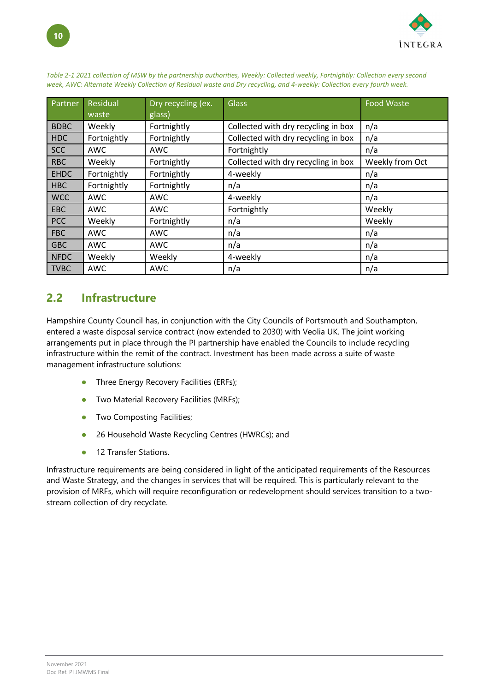

| Partner     | Residual<br>waste | Dry recycling (ex.<br>glass) | <b>Glass</b>                        | <b>Food Waste</b> |
|-------------|-------------------|------------------------------|-------------------------------------|-------------------|
| <b>BDBC</b> | Weekly            | Fortnightly                  | Collected with dry recycling in box | n/a               |
| <b>HDC</b>  | Fortnightly       | Fortnightly                  | Collected with dry recycling in box | n/a               |
| <b>SCC</b>  | <b>AWC</b>        | AWC                          | Fortnightly                         | n/a               |
| <b>RBC</b>  | Weekly            | Fortnightly                  | Collected with dry recycling in box | Weekly from Oct   |
| <b>EHDC</b> | Fortnightly       | Fortnightly                  | 4-weekly                            | n/a               |
| <b>HBC</b>  | Fortnightly       | Fortnightly                  | n/a                                 | n/a               |
| <b>WCC</b>  | <b>AWC</b>        | AWC                          | 4-weekly                            | n/a               |
| <b>EBC</b>  | <b>AWC</b>        | AWC                          | Fortnightly                         | Weekly            |
| <b>PCC</b>  | Weekly            | Fortnightly                  | n/a                                 | Weekly            |
| <b>FBC</b>  | <b>AWC</b>        | AWC                          | n/a                                 | n/a               |
| <b>GBC</b>  | <b>AWC</b>        | AWC                          | n/a                                 | n/a               |
| <b>NFDC</b> | Weekly            | Weekly                       | 4-weekly                            | n/a               |
| <b>TVBC</b> | <b>AWC</b>        | AWC                          | n/a                                 | n/a               |

<span id="page-14-1"></span>*Table 2-1 2021 collection of MSW by the partnership authorities, Weekly: Collected weekly, Fortnightly: Collection every second week, AWC: Alternate Weekly Collection of Residual waste and Dry recycling, and 4-weekly: Collection every fourth week.* 

## <span id="page-14-0"></span>**2.2 Infrastructure**

Hampshire County Council has, in conjunction with the City Councils of Portsmouth and Southampton, entered a waste disposal service contract (now extended to 2030) with Veolia UK. The joint working arrangements put in place through the PI partnership have enabled the Councils to include recycling infrastructure within the remit of the contract. Investment has been made across a suite of waste management infrastructure solutions:

- Three Energy Recovery Facilities (ERFs);
- Two Material Recovery Facilities (MRFs);
- Two Composting Facilities;
- 26 Household Waste Recycling Centres (HWRCs); and
- 12 Transfer Stations.

Infrastructure requirements are being considered in light of the anticipated requirements of the Resources and Waste Strategy, and the changes in services that will be required. This is particularly relevant to the provision of MRFs, which will require reconfiguration or redevelopment should services transition to a twostream collection of dry recyclate.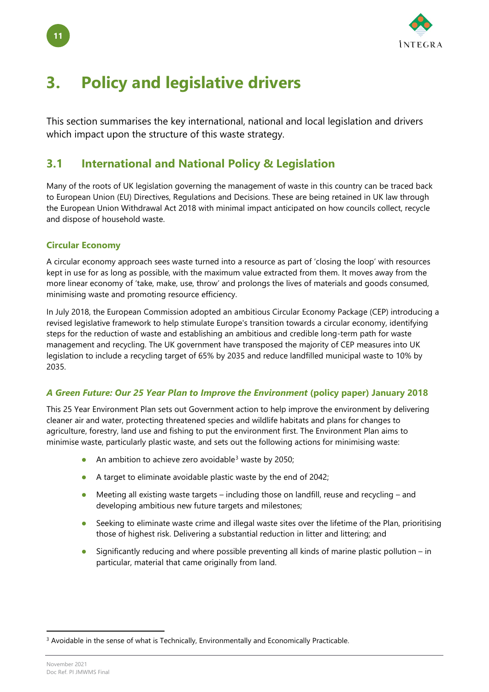

## <span id="page-15-0"></span>**3. Policy and legislative drivers**

This section summarises the key international, national and local legislation and drivers which impact upon the structure of this waste strategy.

## <span id="page-15-1"></span>**3.1 International and National Policy & Legislation**

Many of the roots of UK legislation governing the management of waste in this country can be traced back to European Union (EU) Directives, Regulations and Decisions. These are being retained in UK law through the European Union Withdrawal Act 2018 with minimal impact anticipated on how councils collect, recycle and dispose of household waste.

### <span id="page-15-2"></span>**Circular Economy**

**11**

A circular economy approach sees waste turned into a resource as part of 'closing the loop' with resources kept in use for as long as possible, with the maximum value extracted from them. It moves away from the more linear economy of 'take, make, use, throw' and prolongs the lives of materials and goods consumed, minimising waste and promoting resource efficiency.

In July 2018, the European Commission adopted an ambitious Circular Economy Package (CEP) introducing a revised legislative framework to help stimulate Europe's transition towards a circular economy, identifying steps for the reduction of waste and establishing an ambitious and credible long-term path for waste management and recycling. The UK government have transposed the majority of CEP measures into UK legislation to include a recycling target of 65% by 2035 and reduce landfilled municipal waste to 10% by 2035.

## <span id="page-15-3"></span>*A Green Future: Our 25 Year Plan to Improve the Environment* **(policy paper) January 2018**

This 25 Year Environment Plan sets out Government action to help improve the environment by delivering cleaner air and water, protecting threatened species and wildlife habitats and plans for changes to agriculture, forestry, land use and fishing to put the environment first. The Environment Plan aims to minimise waste, particularly plastic waste, and sets out the following actions for minimising waste:

- An ambition to achieve zero avoidable<sup>[3](#page-15-4)</sup> waste by 2050;
- A target to eliminate avoidable plastic waste by the end of 2042;
- Meeting all existing waste targets including those on landfill, reuse and recycling and developing ambitious new future targets and milestones;
- Seeking to eliminate waste crime and illegal waste sites over the lifetime of the Plan, prioritising those of highest risk. Delivering a substantial reduction in litter and littering; and
- Significantly reducing and where possible preventing all kinds of marine plastic pollution in particular, material that came originally from land.

November 2021 Doc Ref. PI JMWMS Final

<span id="page-15-4"></span><sup>&</sup>lt;sup>3</sup> Avoidable in the sense of what is Technically, Environmentally and Economically Practicable.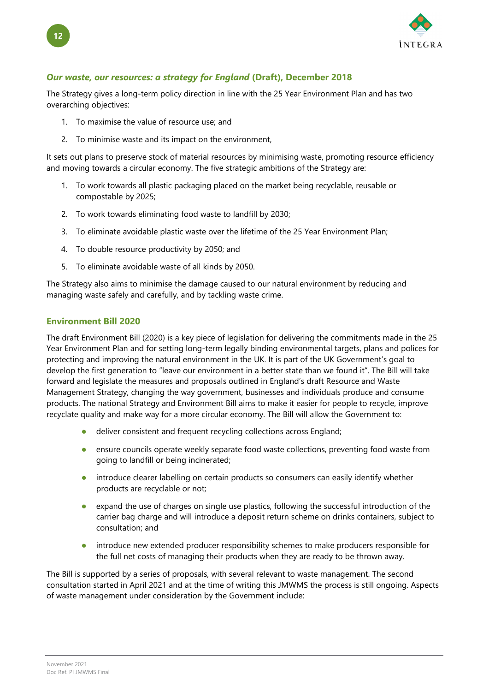

### <span id="page-16-0"></span>*Our waste, our resources: a strategy for England* **(Draft), December 2018**

The Strategy gives a long-term policy direction in line with the 25 Year Environment Plan and has two overarching objectives:

- 1. To maximise the value of resource use; and
- 2. To minimise waste and its impact on the environment,

It sets out plans to preserve stock of material resources by minimising waste, promoting resource efficiency and moving towards a circular economy. The five strategic ambitions of the Strategy are:

- 1. To work towards all plastic packaging placed on the market being recyclable, reusable or compostable by 2025;
- 2. To work towards eliminating food waste to landfill by 2030;
- 3. To eliminate avoidable plastic waste over the lifetime of the 25 Year Environment Plan;
- 4. To double resource productivity by 2050; and
- 5. To eliminate avoidable waste of all kinds by 2050.

The Strategy also aims to minimise the damage caused to our natural environment by reducing and managing waste safely and carefully, and by tackling waste crime.

#### <span id="page-16-1"></span>**Environment Bill 2020**

The draft Environment Bill (2020) is a key piece of legislation for delivering the commitments made in the 25 Year Environment Plan and for setting long-term legally binding environmental targets, plans and polices for protecting and improving the natural environment in the UK. It is part of the UK Government's goal to develop the first generation to "leave our environment in a better state than we found it". The Bill will take forward and legislate the measures and proposals outlined in England's draft Resource and Waste Management Strategy, changing the way government, businesses and individuals produce and consume products. The national Strategy and Environment Bill aims to make it easier for people to recycle, improve recyclate quality and make way for a more circular economy. The Bill will allow the Government to:

- deliver consistent and frequent recycling collections across England;
- ensure councils operate weekly separate food waste collections, preventing food waste from going to landfill or being incinerated;
- introduce clearer labelling on certain products so consumers can easily identify whether products are recyclable or not;
- expand the use of charges on single use plastics, following the successful introduction of the carrier bag charge and will introduce a deposit return scheme on drinks containers, subject to consultation; and
- introduce new extended producer responsibility schemes to make producers responsible for the full net costs of managing their products when they are ready to be thrown away.

The Bill is supported by a series of proposals, with several relevant to waste management. The second consultation started in April 2021 and at the time of writing this JMWMS the process is still ongoing. Aspects of waste management under consideration by the Government include:

**12**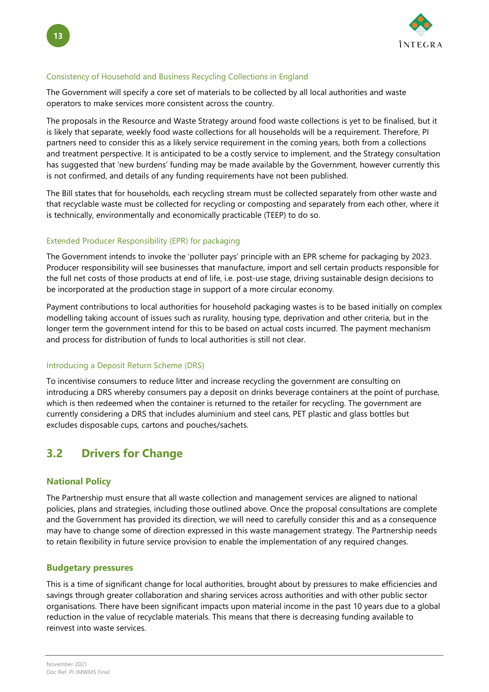

#### Consistency of Household and Business Recycling Collections in England

The Government will specify a core set of materials to be collected by all local authorities and waste operators to make services more consistent across the country.

The proposals in the Resource and Waste Strategy around food waste collections is yet to be finalised, but it is likely that separate, weekly food waste collections for all households will be a requirement. Therefore, PI partners need to consider this as a likely service requirement in the coming years, both from a collections and treatment perspective. It is anticipated to be a costly service to implement, and the Strategy consultation has suggested that 'new burdens' funding may be made available by the Government, however currently this is not confirmed, and details of any funding requirements have not been published.

The Bill states that for households, each recycling stream must be collected separately from other waste and that recyclable waste must be collected for recycling or composting and separately from each other, where it is technically, environmentally and economically practicable (TEEP) to do so.

#### Extended Producer Responsibility (EPR) for packaging

The Government intends to invoke the 'polluter pays' principle with an EPR scheme for packaging by 2023. Producer responsibility will see businesses that manufacture, import and sell certain products responsible for the full net costs of those products at end of life, i.e. post-use stage, driving sustainable design decisions to be incorporated at the production stage in support of a more circular economy.

Payment contributions to local authorities for household packaging wastes is to be based initially on complex modelling taking account of issues such as rurality, housing type, deprivation and other criteria, but in the longer term the government intend for this to be based on actual costs incurred. The payment mechanism and process for distribution of funds to local authorities is still not clear.

#### Introducing a Deposit Return Scheme (DRS)

To incentivise consumers to reduce litter and increase recycling the government are consulting on introducing a DRS whereby consumers pay a deposit on drinks beverage containers at the point of purchase, which is then redeemed when the container is returned to the retailer for recycling. The government are currently considering a DRS that includes aluminium and steel cans, PET plastic and glass bottles but excludes disposable cups, cartons and pouches/sachets.

## <span id="page-17-0"></span>**3.2 Drivers for Change**

#### <span id="page-17-1"></span>**National Policy**

The Partnership must ensure that all waste collection and management services are aligned to national policies, plans and strategies, including those outlined above. Once the proposal consultations are complete and the Government has provided its direction, we will need to carefully consider this and as a consequence may have to change some of direction expressed in this waste management strategy. The Partnership needs to retain flexibility in future service provision to enable the implementation of any required changes.

#### <span id="page-17-2"></span>**Budgetary pressures**

This is a time of significant change for local authorities, brought about by pressures to make efficiencies and savings through greater collaboration and sharing services across authorities and with other public sector organisations. There have been significant impacts upon material income in the past 10 years due to a global reduction in the value of recyclable materials. This means that there is decreasing funding available to reinvest into waste services.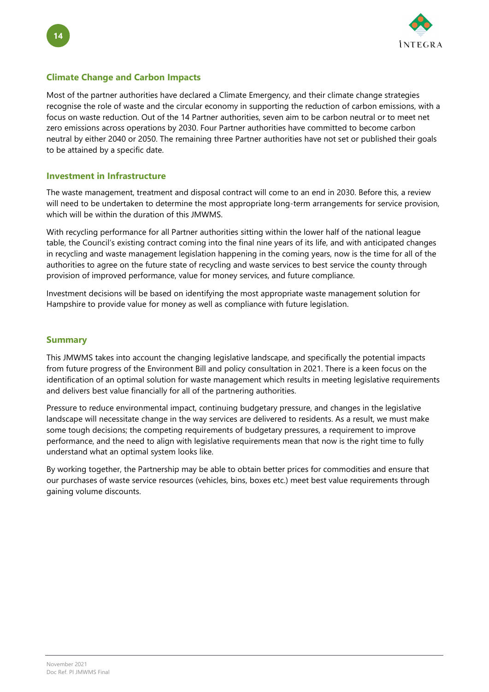

### **Climate Change and Carbon Impacts**

Most of the partner authorities have declared a Climate Emergency, and their climate change strategies recognise the role of waste and the circular economy in supporting the reduction of carbon emissions, with a focus on waste reduction. Out of the 14 Partner authorities, seven aim to be carbon neutral or to meet net zero emissions across operations by 2030. Four Partner authorities have committed to become carbon neutral by either 2040 or 2050. The remaining three Partner authorities have not set or published their goals to be attained by a specific date.

### <span id="page-18-0"></span>**Investment in Infrastructure**

The waste management, treatment and disposal contract will come to an end in 2030. Before this, a review will need to be undertaken to determine the most appropriate long-term arrangements for service provision, which will be within the duration of this JMWMS.

With recycling performance for all Partner authorities sitting within the lower half of the national league table, the Council's existing contract coming into the final nine years of its life, and with anticipated changes in recycling and waste management legislation happening in the coming years, now is the time for all of the authorities to agree on the future state of recycling and waste services to best service the county through provision of improved performance, value for money services, and future compliance.

Investment decisions will be based on identifying the most appropriate waste management solution for Hampshire to provide value for money as well as compliance with future legislation.

#### **Summary**

This JMWMS takes into account the changing legislative landscape, and specifically the potential impacts from future progress of the Environment Bill and policy consultation in 2021. There is a keen focus on the identification of an optimal solution for waste management which results in meeting legislative requirements and delivers best value financially for all of the partnering authorities.

Pressure to reduce environmental impact, continuing budgetary pressure, and changes in the legislative landscape will necessitate change in the way services are delivered to residents. As a result, we must make some tough decisions; the competing requirements of budgetary pressures, a requirement to improve performance, and the need to align with legislative requirements mean that now is the right time to fully understand what an optimal system looks like.

By working together, the Partnership may be able to obtain better prices for commodities and ensure that our purchases of waste service resources (vehicles, bins, boxes etc.) meet best value requirements through gaining volume discounts.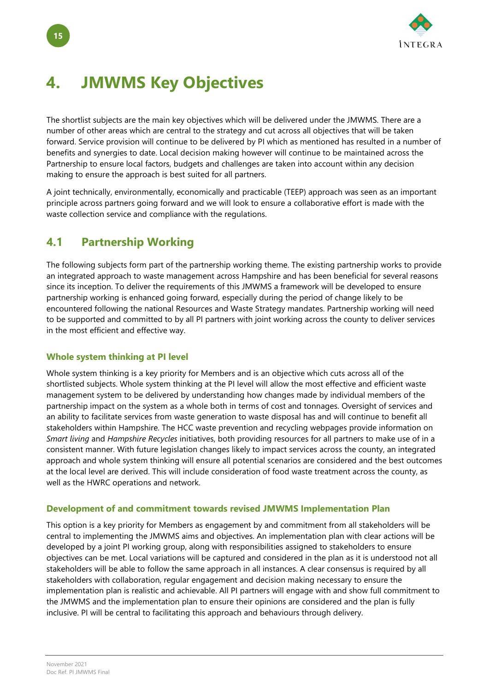

## <span id="page-19-0"></span>**4. JMWMS Key Objectives**

The shortlist subjects are the main key objectives which will be delivered under the JMWMS. There are a number of other areas which are central to the strategy and cut across all objectives that will be taken forward. Service provision will continue to be delivered by PI which as mentioned has resulted in a number of benefits and synergies to date. Local decision making however will continue to be maintained across the Partnership to ensure local factors, budgets and challenges are taken into account within any decision making to ensure the approach is best suited for all partners.

A joint technically, environmentally, economically and practicable (TEEP) approach was seen as an important principle across partners going forward and we will look to ensure a collaborative effort is made with the waste collection service and compliance with the regulations.

## <span id="page-19-1"></span>**4.1 Partnership Working**

The following subjects form part of the partnership working theme. The existing partnership works to provide an integrated approach to waste management across Hampshire and has been beneficial for several reasons since its inception. To deliver the requirements of this JMWMS a framework will be developed to ensure partnership working is enhanced going forward, especially during the period of change likely to be encountered following the national Resources and Waste Strategy mandates. Partnership working will need to be supported and committed to by all PI partners with joint working across the county to deliver services in the most efficient and effective way.

## <span id="page-19-2"></span>**Whole system thinking at PI level**

Whole system thinking is a key priority for Members and is an objective which cuts across all of the shortlisted subjects. Whole system thinking at the PI level will allow the most effective and efficient waste management system to be delivered by understanding how changes made by individual members of the partnership impact on the system as a whole both in terms of cost and tonnages. Oversight of services and an ability to facilitate services from waste generation to waste disposal has and will continue to benefit all stakeholders within Hampshire. The HCC waste prevention and recycling webpages provide information on *Smart living* and *Hampshire Recycles* initiatives, both providing resources for all partners to make use of in a consistent manner. With future legislation changes likely to impact services across the county, an integrated approach and whole system thinking will ensure all potential scenarios are considered and the best outcomes at the local level are derived. This will include consideration of food waste treatment across the county, as well as the HWRC operations and network.

### <span id="page-19-3"></span>**Development of and commitment towards revised JMWMS Implementation Plan**

This option is a key priority for Members as engagement by and commitment from all stakeholders will be central to implementing the JMWMS aims and objectives. An implementation plan with clear actions will be developed by a joint PI working group, along with responsibilities assigned to stakeholders to ensure objectives can be met. Local variations will be captured and considered in the plan as it is understood not all stakeholders will be able to follow the same approach in all instances. A clear consensus is required by all stakeholders with collaboration, regular engagement and decision making necessary to ensure the implementation plan is realistic and achievable. All PI partners will engage with and show full commitment to the JMWMS and the implementation plan to ensure their opinions are considered and the plan is fully inclusive. PI will be central to facilitating this approach and behaviours through delivery.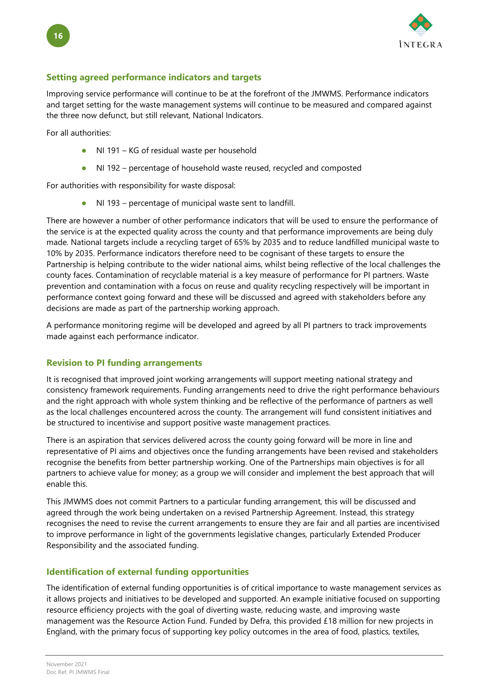

### <span id="page-20-0"></span>**Setting agreed performance indicators and targets**

Improving service performance will continue to be at the forefront of the JMWMS. Performance indicators and target setting for the waste management systems will continue to be measured and compared against the three now defunct, but still relevant, National Indicators.

For all authorities:

- NI 191 KG of residual waste per household
- NI 192 percentage of household waste reused, recycled and composted

For authorities with responsibility for waste disposal:

NI 193 – percentage of municipal waste sent to landfill.

There are however a number of other performance indicators that will be used to ensure the performance of the service is at the expected quality across the county and that performance improvements are being duly made. National targets include a recycling target of 65% by 2035 and to reduce landfilled municipal waste to 10% by 2035. Performance indicators therefore need to be cognisant of these targets to ensure the Partnership is helping contribute to the wider national aims, whilst being reflective of the local challenges the county faces. Contamination of recyclable material is a key measure of performance for PI partners. Waste prevention and contamination with a focus on reuse and quality recycling respectively will be important in performance context going forward and these will be discussed and agreed with stakeholders before any decisions are made as part of the partnership working approach.

A performance monitoring regime will be developed and agreed by all PI partners to track improvements made against each performance indicator.

### <span id="page-20-1"></span>**Revision to PI funding arrangements**

It is recognised that improved joint working arrangements will support meeting national strategy and consistency framework requirements. Funding arrangements need to drive the right performance behaviours and the right approach with whole system thinking and be reflective of the performance of partners as well as the local challenges encountered across the county. The arrangement will fund consistent initiatives and be structured to incentivise and support positive waste management practices.

There is an aspiration that services delivered across the county going forward will be more in line and representative of PI aims and objectives once the funding arrangements have been revised and stakeholders recognise the benefits from better partnership working. One of the Partnerships main objectives is for all partners to achieve value for money; as a group we will consider and implement the best approach that will enable this.

This JMWMS does not commit Partners to a particular funding arrangement, this will be discussed and agreed through the work being undertaken on a revised Partnership Agreement. Instead, this strategy recognises the need to revise the current arrangements to ensure they are fair and all parties are incentivised to improve performance in light of the governments legislative changes, particularly Extended Producer Responsibility and the associated funding.

## <span id="page-20-2"></span>**Identification of external funding opportunities**

The identification of external funding opportunities is of critical importance to waste management services as it allows projects and initiatives to be developed and supported. An example initiative focused on supporting resource efficiency projects with the goal of diverting waste, reducing waste, and improving waste management was the Resource Action Fund. Funded by Defra, this provided £18 million for new projects in England, with the primary focus of supporting key policy outcomes in the area of food, plastics, textiles,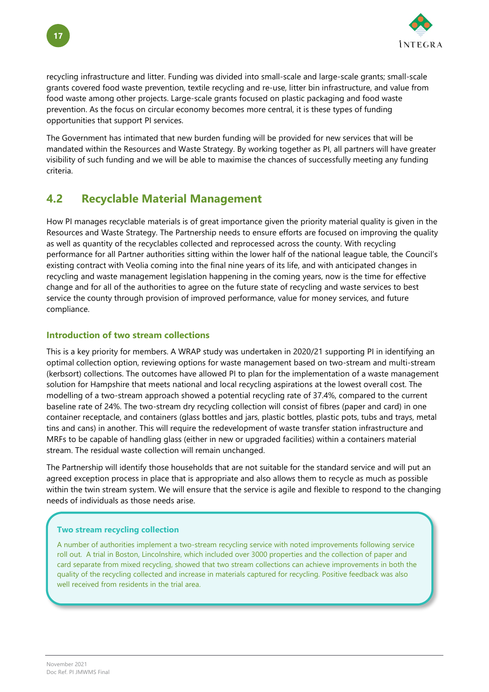

recycling infrastructure and litter. Funding was divided into small-scale and large-scale grants; small-scale grants covered food waste prevention, textile recycling and re-use, litter bin infrastructure, and value from food waste among other projects. Large-scale grants focused on plastic packaging and food waste prevention. As the focus on circular economy becomes more central, it is these types of funding opportunities that support PI services.

The Government has intimated that new burden funding will be provided for new services that will be mandated within the Resources and Waste Strategy. By working together as PI, all partners will have greater visibility of such funding and we will be able to maximise the chances of successfully meeting any funding criteria.

## <span id="page-21-0"></span>**4.2 Recyclable Material Management**

How PI manages recyclable materials is of great importance given the priority material quality is given in the Resources and Waste Strategy. The Partnership needs to ensure efforts are focused on improving the quality as well as quantity of the recyclables collected and reprocessed across the county. With recycling performance for all Partner authorities sitting within the lower half of the national league table, the Council's existing contract with Veolia coming into the final nine years of its life, and with anticipated changes in recycling and waste management legislation happening in the coming years, now is the time for effective change and for all of the authorities to agree on the future state of recycling and waste services to best service the county through provision of improved performance, value for money services, and future compliance.

### <span id="page-21-1"></span>**Introduction of two stream collections**

This is a key priority for members. A WRAP study was undertaken in 2020/21 supporting PI in identifying an optimal collection option, reviewing options for waste management based on two-stream and multi-stream (kerbsort) collections. The outcomes have allowed PI to plan for the implementation of a waste management solution for Hampshire that meets national and local recycling aspirations at the lowest overall cost. The modelling of a two-stream approach showed a potential recycling rate of 37.4%, compared to the current baseline rate of 24%. The two-stream dry recycling collection will consist of fibres (paper and card) in one container receptacle, and containers (glass bottles and jars, plastic bottles, plastic pots, tubs and trays, metal tins and cans) in another. This will require the redevelopment of waste transfer station infrastructure and MRFs to be capable of handling glass (either in new or upgraded facilities) within a containers material stream. The residual waste collection will remain unchanged.

The Partnership will identify those households that are not suitable for the standard service and will put an agreed exception process in place that is appropriate and also allows them to recycle as much as possible within the twin stream system. We will ensure that the service is agile and flexible to respond to the changing needs of individuals as those needs arise.

### **Two stream recycling collection**

A number of authorities implement a two-stream recycling service with noted improvements following service roll out. A trial in Boston, Lincolnshire, which included over 3000 properties and the collection of paper and card separate from mixed recycling, showed that two stream collections can achieve improvements in both the quality of the recycling collected and increase in materials captured for recycling. Positive feedback was also well received from residents in the trial area.

**17**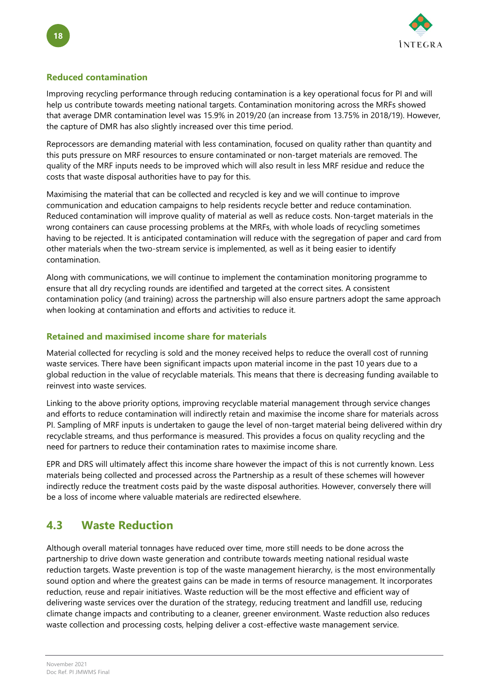

### <span id="page-22-0"></span>**Reduced contamination**

Improving recycling performance through reducing contamination is a key operational focus for PI and will help us contribute towards meeting national targets. Contamination monitoring across the MRFs showed that average DMR contamination level was 15.9% in 2019/20 (an increase from 13.75% in 2018/19). However, the capture of DMR has also slightly increased over this time period.

Reprocessors are demanding material with less contamination, focused on quality rather than quantity and this puts pressure on MRF resources to ensure contaminated or non-target materials are removed. The quality of the MRF inputs needs to be improved which will also result in less MRF residue and reduce the costs that waste disposal authorities have to pay for this.

Maximising the material that can be collected and recycled is key and we will continue to improve communication and education campaigns to help residents recycle better and reduce contamination. Reduced contamination will improve quality of material as well as reduce costs. Non-target materials in the wrong containers can cause processing problems at the MRFs, with whole loads of recycling sometimes having to be rejected. It is anticipated contamination will reduce with the segregation of paper and card from other materials when the two-stream service is implemented, as well as it being easier to identify contamination.

Along with communications, we will continue to implement the contamination monitoring programme to ensure that all dry recycling rounds are identified and targeted at the correct sites. A consistent contamination policy (and training) across the partnership will also ensure partners adopt the same approach when looking at contamination and efforts and activities to reduce it.

### <span id="page-22-1"></span>**Retained and maximised income share for materials**

Material collected for recycling is sold and the money received helps to reduce the overall cost of running waste services. There have been significant impacts upon material income in the past 10 years due to a global reduction in the value of recyclable materials. This means that there is decreasing funding available to reinvest into waste services.

Linking to the above priority options, improving recyclable material management through service changes and efforts to reduce contamination will indirectly retain and maximise the income share for materials across PI. Sampling of MRF inputs is undertaken to gauge the level of non-target material being delivered within dry recyclable streams, and thus performance is measured. This provides a focus on quality recycling and the need for partners to reduce their contamination rates to maximise income share.

EPR and DRS will ultimately affect this income share however the impact of this is not currently known. Less materials being collected and processed across the Partnership as a result of these schemes will however indirectly reduce the treatment costs paid by the waste disposal authorities. However, conversely there will be a loss of income where valuable materials are redirected elsewhere.

## <span id="page-22-2"></span>**4.3 Waste Reduction**

Although overall material tonnages have reduced over time, more still needs to be done across the partnership to drive down waste generation and contribute towards meeting national residual waste reduction targets. Waste prevention is top of the waste management hierarchy, is the most environmentally sound option and where the greatest gains can be made in terms of resource management. It incorporates reduction, reuse and repair initiatives. Waste reduction will be the most effective and efficient way of delivering waste services over the duration of the strategy, reducing treatment and landfill use, reducing climate change impacts and contributing to a cleaner, greener environment. Waste reduction also reduces waste collection and processing costs, helping deliver a cost-effective waste management service.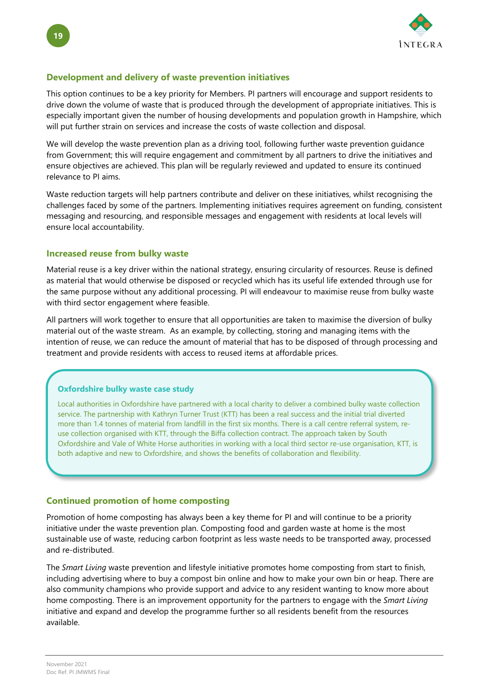

#### <span id="page-23-0"></span>**Development and delivery of waste prevention initiatives**

This option continues to be a key priority for Members. PI partners will encourage and support residents to drive down the volume of waste that is produced through the development of appropriate initiatives. This is especially important given the number of housing developments and population growth in Hampshire, which will put further strain on services and increase the costs of waste collection and disposal.

We will develop the waste prevention plan as a driving tool, following further waste prevention guidance from Government; this will require engagement and commitment by all partners to drive the initiatives and ensure objectives are achieved. This plan will be regularly reviewed and updated to ensure its continued relevance to PI aims.

Waste reduction targets will help partners contribute and deliver on these initiatives, whilst recognising the challenges faced by some of the partners. Implementing initiatives requires agreement on funding, consistent messaging and resourcing, and responsible messages and engagement with residents at local levels will ensure local accountability.

#### <span id="page-23-1"></span>**Increased reuse from bulky waste**

Material reuse is a key driver within the national strategy, ensuring circularity of resources. Reuse is defined as material that would otherwise be disposed or recycled which has its useful life extended through use for the same purpose without any additional processing. PI will endeavour to maximise reuse from bulky waste with third sector engagement where feasible.

All partners will work together to ensure that all opportunities are taken to maximise the diversion of bulky material out of the waste stream. As an example, by collecting, storing and managing items with the intention of reuse, we can reduce the amount of material that has to be disposed of through processing and treatment and provide residents with access to reused items at affordable prices.

#### **Oxfordshire bulky waste case study**

Local authorities in Oxfordshire have partnered with a local charity to deliver a combined bulky waste collection service. The partnership with Kathryn Turner Trust (KTT) has been a real success and the initial trial diverted more than 1.4 tonnes of material from landfill in the first six months. There is a call centre referral system, reuse collection organised with KTT, through the Biffa collection contract. The approach taken by South Oxfordshire and Vale of White Horse authorities in working with a local third sector re-use organisation, KTT, is both adaptive and new to Oxfordshire, and shows the benefits of collaboration and flexibility.

#### <span id="page-23-2"></span>**Continued promotion of home composting**

Promotion of home composting has always been a key theme for PI and will continue to be a priority initiative under the waste prevention plan. Composting food and garden waste at home is the most sustainable use of waste, reducing carbon footprint as less waste needs to be transported away, processed and re-distributed.

The *Smart Living* waste prevention and lifestyle initiative promotes home composting from start to finish, including advertising where to buy a compost bin online and how to make your own bin or heap. There are also community champions who provide support and advice to any resident wanting to know more about home composting. There is an improvement opportunity for the partners to engage with the *Smart Living* initiative and expand and develop the programme further so all residents benefit from the resources available.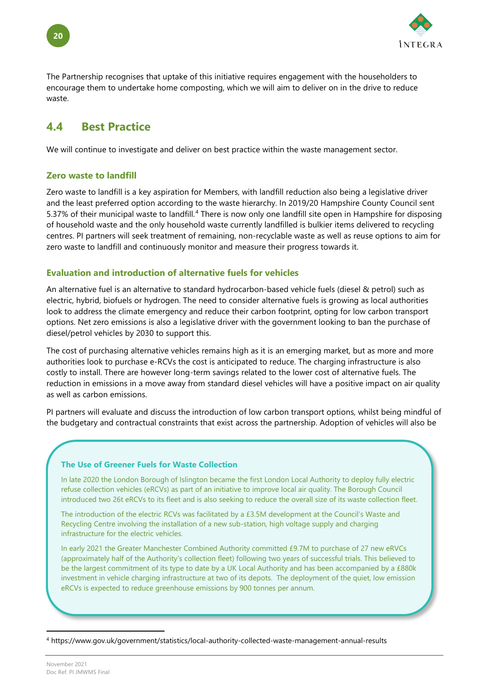

The Partnership recognises that uptake of this initiative requires engagement with the householders to encourage them to undertake home composting, which we will aim to deliver on in the drive to reduce waste.

## <span id="page-24-0"></span>**4.4 Best Practice**

We will continue to investigate and deliver on best practice within the waste management sector.

### <span id="page-24-1"></span>**Zero waste to landfill**

Zero waste to landfill is a key aspiration for Members, with landfill reduction also being a legislative driver and the least preferred option according to the waste hierarchy. In 2019/20 Hampshire County Council sent 5.37% of their municipal waste to landfill.[4](#page-24-3) There is now only one landfill site open in Hampshire for disposing of household waste and the only household waste currently landfilled is bulkier items delivered to recycling centres. PI partners will seek treatment of remaining, non-recyclable waste as well as reuse options to aim for zero waste to landfill and continuously monitor and measure their progress towards it.

#### <span id="page-24-2"></span>**Evaluation and introduction of alternative fuels for vehicles**

An alternative fuel is an alternative to standard hydrocarbon-based vehicle fuels (diesel & petrol) such as electric, hybrid, biofuels or hydrogen. The need to consider alternative fuels is growing as local authorities look to address the climate emergency and reduce their carbon footprint, opting for low carbon transport options. Net zero emissions is also a legislative driver with the government looking to ban the purchase of diesel/petrol vehicles by 2030 to support this.

The cost of purchasing alternative vehicles remains high as it is an emerging market, but as more and more authorities look to purchase e-RCVs the cost is anticipated to reduce. The charging infrastructure is also costly to install. There are however long-term savings related to the lower cost of alternative fuels. The reduction in emissions in a move away from standard diesel vehicles will have a positive impact on air quality as well as carbon emissions.

PI partners will evaluate and discuss the introduction of low carbon transport options, whilst being mindful of the budgetary and contractual constraints that exist across the partnership. Adoption of vehicles will also be

#### **The Use of Greener Fuels for Waste Collection**

In late 2020 the London Borough of Islington became the first London Local Authority to deploy fully electric refuse collection vehicles (eRCVs) as part of an initiative to improve local air quality. The Borough Council introduced two 26t eRCVs to its fleet and is also seeking to reduce the overall size of its waste collection fleet.

The introduction of the electric RCVs was facilitated by a £3.5M development at the Council's Waste and Recycling Centre involving the installation of a new sub-station, high voltage supply and charging infrastructure for the electric vehicles.

In early 2021 the Greater Manchester Combined Authority committed £9.7M to purchase of 27 new eRVCs (approximately half of the Authority's collection fleet) following two years of successful trials. This believed to be the largest commitment of its type to date by a UK Local Authority and has been accompanied by a £880k investment in vehicle charging infrastructure at two of its depots. The deployment of the quiet, low emission eRCVs is expected to reduce greenhouse emissions by 900 tonnes per annum.

<span id="page-24-3"></span><sup>4</sup> https://www.gov.uk/government/statistics/local-authority-collected-waste-management-annual-results

**20**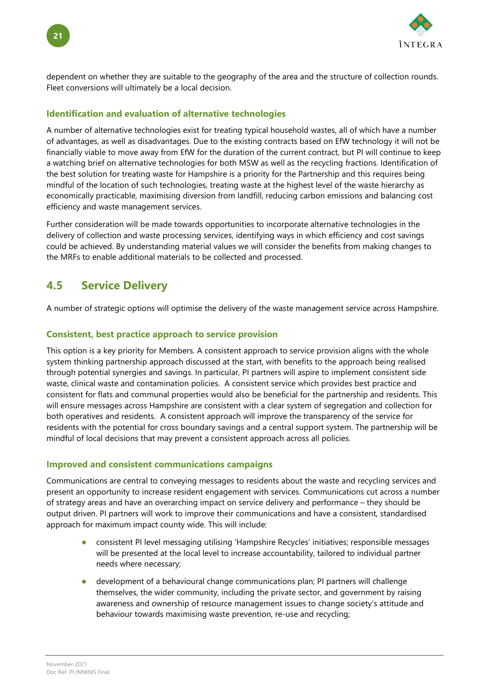

dependent on whether they are suitable to the geography of the area and the structure of collection rounds. Fleet conversions will ultimately be a local decision.

### <span id="page-25-0"></span>**Identification and evaluation of alternative technologies**

A number of alternative technologies exist for treating typical household wastes, all of which have a number of advantages, as well as disadvantages. Due to the existing contracts based on EfW technology it will not be financially viable to move away from EfW for the duration of the current contract, but PI will continue to keep a watching brief on alternative technologies for both MSW as well as the recycling fractions. Identification of the best solution for treating waste for Hampshire is a priority for the Partnership and this requires being mindful of the location of such technologies, treating waste at the highest level of the waste hierarchy as economically practicable, maximising diversion from landfill, reducing carbon emissions and balancing cost efficiency and waste management services.

Further consideration will be made towards opportunities to incorporate alternative technologies in the delivery of collection and waste processing services, identifying ways in which efficiency and cost savings could be achieved. By understanding material values we will consider the benefits from making changes to the MRFs to enable additional materials to be collected and processed.

## <span id="page-25-1"></span>**4.5 Service Delivery**

A number of strategic options will optimise the delivery of the waste management service across Hampshire.

#### <span id="page-25-2"></span>**Consistent, best practice approach to service provision**

This option is a key priority for Members. A consistent approach to service provision aligns with the whole system thinking partnership approach discussed at the start, with benefits to the approach being realised through potential synergies and savings. In particular, PI partners will aspire to implement consistent side waste, clinical waste and contamination policies. A consistent service which provides best practice and consistent for flats and communal properties would also be beneficial for the partnership and residents. This will ensure messages across Hampshire are consistent with a clear system of segregation and collection for both operatives and residents. A consistent approach will improve the transparency of the service for residents with the potential for cross boundary savings and a central support system. The partnership will be mindful of local decisions that may prevent a consistent approach across all policies.

#### <span id="page-25-3"></span>**Improved and consistent communications campaigns**

Communications are central to conveying messages to residents about the waste and recycling services and present an opportunity to increase resident engagement with services. Communications cut across a number of strategy areas and have an overarching impact on service delivery and performance – they should be output driven. PI partners will work to improve their communications and have a consistent, standardised approach for maximum impact county wide. This will include:

- consistent PI level messaging utilising 'Hampshire Recycles' initiatives; responsible messages will be presented at the local level to increase accountability, tailored to individual partner needs where necessary;
- development of a behavioural change communications plan; PI partners will challenge themselves, the wider community, including the private sector, and government by raising awareness and ownership of resource management issues to change society's attitude and behaviour towards maximising waste prevention, re-use and recycling;

**21**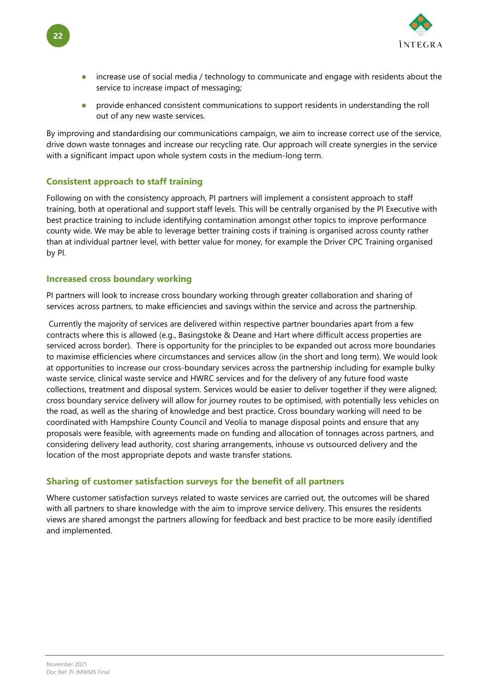

- increase use of social media / technology to communicate and engage with residents about the service to increase impact of messaging;
- provide enhanced consistent communications to support residents in understanding the roll out of any new waste services.

By improving and standardising our communications campaign, we aim to increase correct use of the service, drive down waste tonnages and increase our recycling rate. Our approach will create synergies in the service with a significant impact upon whole system costs in the medium-long term.

#### <span id="page-26-0"></span>**Consistent approach to staff training**

Following on with the consistency approach, PI partners will implement a consistent approach to staff training, both at operational and support staff levels. This will be centrally organised by the PI Executive with best practice training to include identifying contamination amongst other topics to improve performance county wide. We may be able to leverage better training costs if training is organised across county rather than at individual partner level, with better value for money, for example the Driver CPC Training organised by PI.

#### <span id="page-26-1"></span>**Increased cross boundary working**

PI partners will look to increase cross boundary working through greater collaboration and sharing of services across partners, to make efficiencies and savings within the service and across the partnership.

Currently the majority of services are delivered within respective partner boundaries apart from a few contracts where this is allowed (e.g., Basingstoke & Deane and Hart where difficult access properties are serviced across border). There is opportunity for the principles to be expanded out across more boundaries to maximise efficiencies where circumstances and services allow (in the short and long term). We would look at opportunities to increase our cross-boundary services across the partnership including for example bulky waste service, clinical waste service and HWRC services and for the delivery of any future food waste collections, treatment and disposal system. Services would be easier to deliver together if they were aligned; cross boundary service delivery will allow for journey routes to be optimised, with potentially less vehicles on the road, as well as the sharing of knowledge and best practice. Cross boundary working will need to be coordinated with Hampshire County Council and Veolia to manage disposal points and ensure that any proposals were feasible, with agreements made on funding and allocation of tonnages across partners, and considering delivery lead authority, cost sharing arrangements, inhouse vs outsourced delivery and the location of the most appropriate depots and waste transfer stations.

### <span id="page-26-2"></span>**Sharing of customer satisfaction surveys for the benefit of all partners**

Where customer satisfaction surveys related to waste services are carried out, the outcomes will be shared with all partners to share knowledge with the aim to improve service delivery. This ensures the residents views are shared amongst the partners allowing for feedback and best practice to be more easily identified and implemented.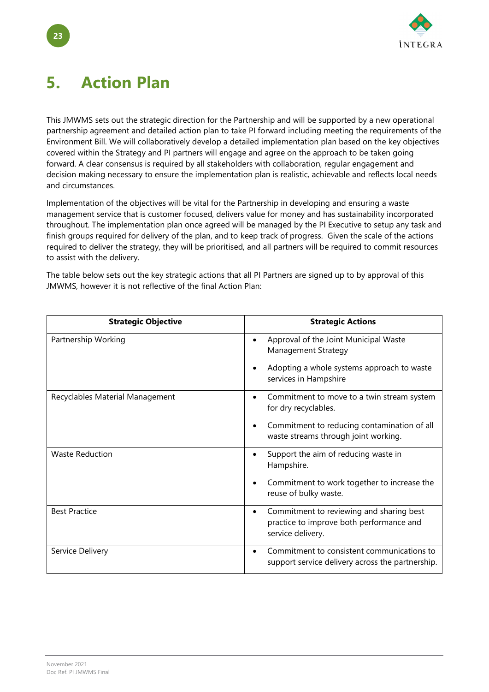

# <span id="page-27-0"></span>**5. Action Plan**

This JMWMS sets out the strategic direction for the Partnership and will be supported by a new operational partnership agreement and detailed action plan to take PI forward including meeting the requirements of the Environment Bill. We will collaboratively develop a detailed implementation plan based on the key objectives covered within the Strategy and PI partners will engage and agree on the approach to be taken going forward. A clear consensus is required by all stakeholders with collaboration, regular engagement and decision making necessary to ensure the implementation plan is realistic, achievable and reflects local needs and circumstances.

Implementation of the objectives will be vital for the Partnership in developing and ensuring a waste management service that is customer focused, delivers value for money and has sustainability incorporated throughout. The implementation plan once agreed will be managed by the PI Executive to setup any task and finish groups required for delivery of the plan, and to keep track of progress. Given the scale of the actions required to deliver the strategy, they will be prioritised, and all partners will be required to commit resources to assist with the delivery.

The table below sets out the key strategic actions that all PI Partners are signed up to by approval of this JMWMS, however it is not reflective of the final Action Plan:

| <b>Strategic Objective</b>      | <b>Strategic Actions</b>                                                                                               |
|---------------------------------|------------------------------------------------------------------------------------------------------------------------|
| Partnership Working             | Approval of the Joint Municipal Waste<br>$\bullet$<br>Management Strategy                                              |
|                                 | Adopting a whole systems approach to waste<br>services in Hampshire                                                    |
| Recyclables Material Management | Commitment to move to a twin stream system<br>٠<br>for dry recyclables.                                                |
|                                 | Commitment to reducing contamination of all<br>waste streams through joint working.                                    |
| <b>Waste Reduction</b>          | Support the aim of reducing waste in<br>$\bullet$<br>Hampshire.                                                        |
|                                 | Commitment to work together to increase the<br>$\bullet$<br>reuse of bulky waste.                                      |
| <b>Best Practice</b>            | Commitment to reviewing and sharing best<br>$\bullet$<br>practice to improve both performance and<br>service delivery. |
| Service Delivery                | Commitment to consistent communications to<br>$\bullet$<br>support service delivery across the partnership.            |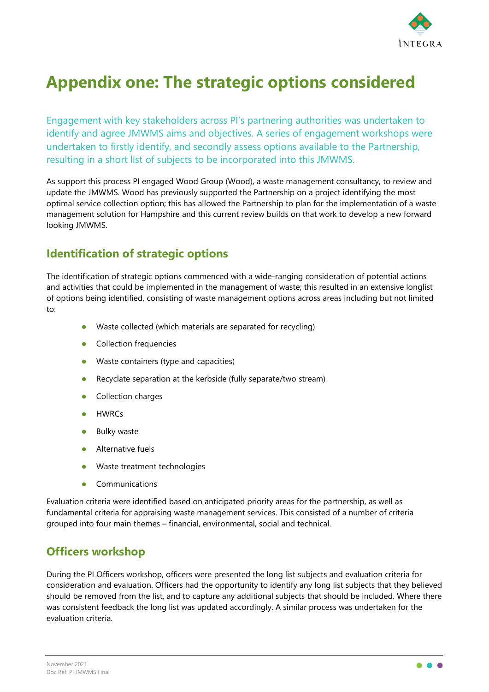

## <span id="page-28-0"></span>**Appendix one: The strategic options considered**

Engagement with key stakeholders across PI's partnering authorities was undertaken to identify and agree JMWMS aims and objectives. A series of engagement workshops were undertaken to firstly identify, and secondly assess options available to the Partnership, resulting in a short list of subjects to be incorporated into this JMWMS.

As support this process PI engaged Wood Group (Wood), a waste management consultancy, to review and update the JMWMS. Wood has previously supported the Partnership on a project identifying the most optimal service collection option; this has allowed the Partnership to plan for the implementation of a waste management solution for Hampshire and this current review builds on that work to develop a new forward looking JMWMS.

## <span id="page-28-1"></span>**Identification of strategic options**

The identification of strategic options commenced with a wide-ranging consideration of potential actions and activities that could be implemented in the management of waste; this resulted in an extensive longlist of options being identified, consisting of waste management options across areas including but not limited to:

- Waste collected (which materials are separated for recycling)
- Collection frequencies
- Waste containers (type and capacities)
- Recyclate separation at the kerbside (fully separate/two stream)
- Collection charges
- HWRCs
- Bulky waste
- **•** Alternative fuels
- **Waste treatment technologies**
- Communications

Evaluation criteria were identified based on anticipated priority areas for the partnership, as well as fundamental criteria for appraising waste management services. This consisted of a number of criteria grouped into four main themes – financial, environmental, social and technical.

## <span id="page-28-2"></span>**Officers workshop**

During the PI Officers workshop, officers were presented the long list subjects and evaluation criteria for consideration and evaluation. Officers had the opportunity to identify any long list subjects that they believed should be removed from the list, and to capture any additional subjects that should be included. Where there was consistent feedback the long list was updated accordingly. A similar process was undertaken for the evaluation criteria.

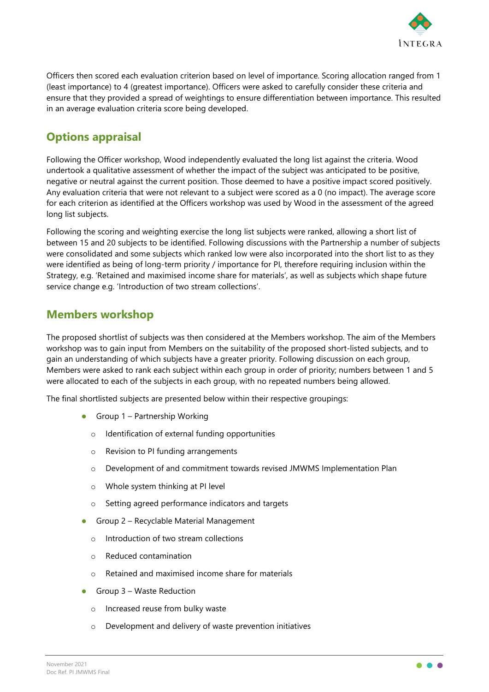

Officers then scored each evaluation criterion based on level of importance. Scoring allocation ranged from 1 (least importance) to 4 (greatest importance). Officers were asked to carefully consider these criteria and ensure that they provided a spread of weightings to ensure differentiation between importance. This resulted in an average evaluation criteria score being developed.

## <span id="page-29-0"></span>**Options appraisal**

Following the Officer workshop, Wood independently evaluated the long list against the criteria. Wood undertook a qualitative assessment of whether the impact of the subject was anticipated to be positive, negative or neutral against the current position. Those deemed to have a positive impact scored positively. Any evaluation criteria that were not relevant to a subject were scored as a 0 (no impact). The average score for each criterion as identified at the Officers workshop was used by Wood in the assessment of the agreed long list subjects.

Following the scoring and weighting exercise the long list subjects were ranked, allowing a short list of between 15 and 20 subjects to be identified. Following discussions with the Partnership a number of subjects were consolidated and some subjects which ranked low were also incorporated into the short list to as they were identified as being of long-term priority / importance for PI, therefore requiring inclusion within the Strategy, e.g. 'Retained and maximised income share for materials', as well as subjects which shape future service change e.g. 'Introduction of two stream collections'.

## <span id="page-29-1"></span>**Members workshop**

The proposed shortlist of subjects was then considered at the Members workshop. The aim of the Members workshop was to gain input from Members on the suitability of the proposed short-listed subjects, and to gain an understanding of which subjects have a greater priority. Following discussion on each group, Members were asked to rank each subject within each group in order of priority; numbers between 1 and 5 were allocated to each of the subjects in each group, with no repeated numbers being allowed.

The final shortlisted subjects are presented below within their respective groupings:

- Group  $1$  Partnership Working
	- o Identification of external funding opportunities
	- o Revision to PI funding arrangements
	- o Development of and commitment towards revised JMWMS Implementation Plan
	- o Whole system thinking at PI level
	- o Setting agreed performance indicators and targets
- **Group 2 Recyclable Material Management** 
	- o Introduction of two stream collections
	- o Reduced contamination
	- o Retained and maximised income share for materials
- Group 3 Waste Reduction
	- o Increased reuse from bulky waste
	- o Development and delivery of waste prevention initiatives